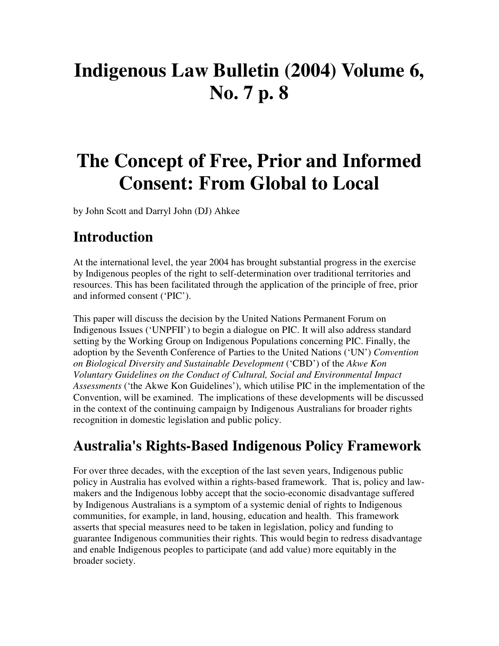# **Indigenous Law Bulletin (2004) Volume 6, No. 7 p. 8**

# **The Concept of Free, Prior and Informed Consent: From Global to Local**

by John Scott and Darryl John (DJ) Ahkee

#### **Introduction**

At the international level, the year 2004 has brought substantial progress in the exercise by Indigenous peoples of the right to self-determination over traditional territories and resources. This has been facilitated through the application of the principle of free, prior and informed consent ('PIC').

This paper will discuss the decision by the United Nations Permanent Forum on Indigenous Issues ('UNPFII') to begin a dialogue on PIC. It will also address standard setting by the Working Group on Indigenous Populations concerning PIC. Finally, the adoption by the Seventh Conference of Parties to the United Nations ('UN') *Convention on Biological Diversity and Sustainable Development* ('CBD') of the *Akwe Kon Voluntary Guidelines on the Conduct of Cultural, Social and Environmental Impact Assessments* ('the Akwe Kon Guidelines'), which utilise PIC in the implementation of the Convention, will be examined. The implications of these developments will be discussed in the context of the continuing campaign by Indigenous Australians for broader rights recognition in domestic legislation and public policy.

#### **Australia's Rights-Based Indigenous Policy Framework**

For over three decades, with the exception of the last seven years, Indigenous public policy in Australia has evolved within a rights-based framework. That is, policy and lawmakers and the Indigenous lobby accept that the socio-economic disadvantage suffered by Indigenous Australians is a symptom of a systemic denial of rights to Indigenous communities, for example, in land, housing, education and health. This framework asserts that special measures need to be taken in legislation, policy and funding to guarantee Indigenous communities their rights. This would begin to redress disadvantage and enable Indigenous peoples to participate (and add value) more equitably in the broader society.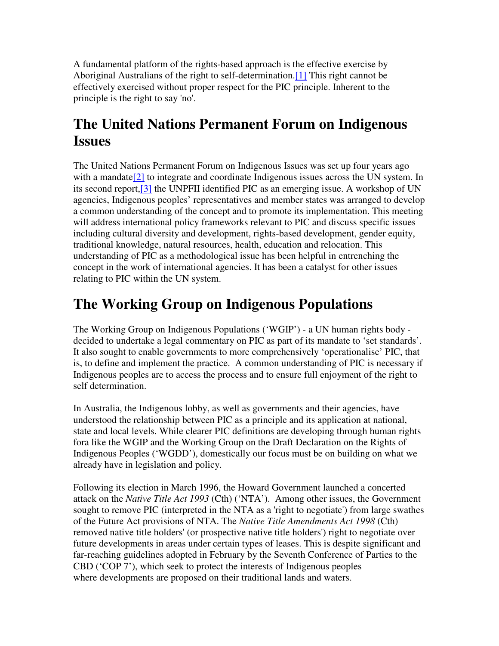A fundamental platform of the rights-based approach is the effective exercise by Aboriginal Australians of the right to self-determination.[1] This right cannot be effectively exercised without proper respect for the PIC principle. Inherent to the principle is the right to say 'no'.

### **The United Nations Permanent Forum on Indigenous Issues**

The United Nations Permanent Forum on Indigenous Issues was set up four years ago with a mandate $[2]$  to integrate and coordinate Indigenous issues across the UN system. In its second report,[3] the UNPFII identified PIC as an emerging issue. A workshop of UN agencies, Indigenous peoples' representatives and member states was arranged to develop a common understanding of the concept and to promote its implementation. This meeting will address international policy frameworks relevant to PIC and discuss specific issues including cultural diversity and development, rights-based development, gender equity, traditional knowledge, natural resources, health, education and relocation. This understanding of PIC as a methodological issue has been helpful in entrenching the concept in the work of international agencies. It has been a catalyst for other issues relating to PIC within the UN system.

### **The Working Group on Indigenous Populations**

The Working Group on Indigenous Populations ('WGIP') - a UN human rights body decided to undertake a legal commentary on PIC as part of its mandate to 'set standards'. It also sought to enable governments to more comprehensively 'operationalise' PIC, that is, to define and implement the practice. A common understanding of PIC is necessary if Indigenous peoples are to access the process and to ensure full enjoyment of the right to self determination.

In Australia, the Indigenous lobby, as well as governments and their agencies, have understood the relationship between PIC as a principle and its application at national, state and local levels. While clearer PIC definitions are developing through human rights fora like the WGIP and the Working Group on the Draft Declaration on the Rights of Indigenous Peoples ('WGDD'), domestically our focus must be on building on what we already have in legislation and policy.

Following its election in March 1996, the Howard Government launched a concerted attack on the *Native Title Act 1993* (Cth) ('NTA'). Among other issues, the Government sought to remove PIC (interpreted in the NTA as a 'right to negotiate') from large swathes of the Future Act provisions of NTA. The *Native Title Amendments Act 1998* (Cth) removed native title holders'(or prospective native title holders') right to negotiate over future developments in areas under certain types of leases. This is despite significant and far-reaching guidelines adopted in February by the Seventh Conference of Parties to the CBD ('COP 7'), which seek to protect the interests of Indigenous peoples where developments are proposed on their traditional lands and waters.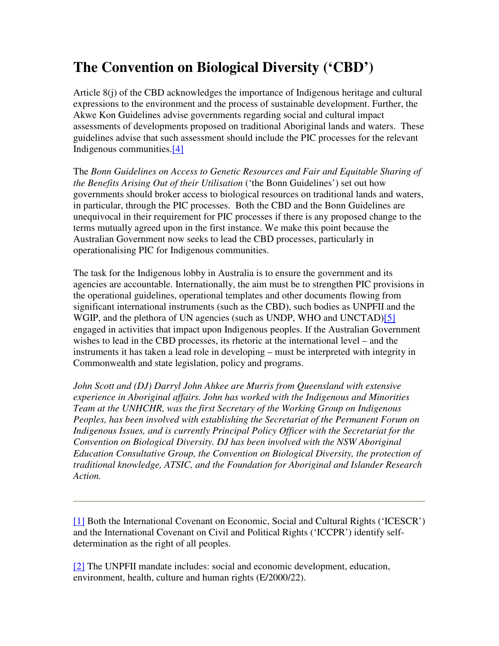## **The Convention on Biological Diversity ('CBD')**

Article 8(j) of the CBD acknowledges the importance of Indigenous heritage and cultural expressions to the environment and the process of sustainable development. Further, the Akwe Kon Guidelines advise governments regarding social and cultural impact assessments of developments proposed on traditional Aboriginal lands and waters. These guidelines advise that such assessment should include the PIC processes for the relevant Indigenous communities.[4]

The *Bonn Guidelines on Access to Genetic Resources and Fair and Equitable Sharing of the Benefits Arising Out of their Utilisation* ('the Bonn Guidelines') set out how governments should broker access to biological resources on traditional lands and waters, in particular, through the PIC processes. Both the CBD and the Bonn Guidelines are unequivocal in their requirement for PIC processes if there is any proposed change to the terms mutually agreed upon in the first instance. We make this point because the Australian Government now seeks to lead the CBD processes, particularly in operationalising PIC for Indigenous communities.

The task for the Indigenous lobby in Australia is to ensure the government and its agencies are accountable. Internationally, the aim must be to strengthen PIC provisions in the operational guidelines, operational templates and other documents flowing from significant international instruments (such as the CBD), such bodies as UNPFII and the WGIP, and the plethora of UN agencies (such as UNDP, WHO and UNCTAD)[5] engaged in activities that impact upon Indigenous peoples. If the Australian Government wishes to lead in the CBD processes, its rhetoric at the international level – and the instruments it has taken a lead role in developing – must be interpreted with integrity in Commonwealth and state legislation, policy and programs.

*John Scott and (DJ) Darryl John Ahkee are Murris from Queensland with extensive experience in Aboriginal affairs. John has worked with the Indigenous and Minorities Team at the UNHCHR, was the first Secretary of the Working Group on Indigenous Peoples, has been involved with establishing the Secretariat of the Permanent Forum on Indigenous Issues, and is currently Principal Policy Officer with the Secretariat for the Convention on Biological Diversity. DJ has been involved with the NSW Aboriginal Education Consultative Group, the Convention on Biological Diversity, the protection of traditional knowledge, ATSIC, and the Foundation for Aboriginal and Islander Research Action.*

[1] Both the International Covenant on Economic, Social and Cultural Rights ('ICESCR') and the International Covenant on Civil and Political Rights ('ICCPR') identify selfdetermination as the right of all peoples.

[2] The UNPFII mandate includes: social and economic development, education, environment, health, culture and human rights (E/2000/22).